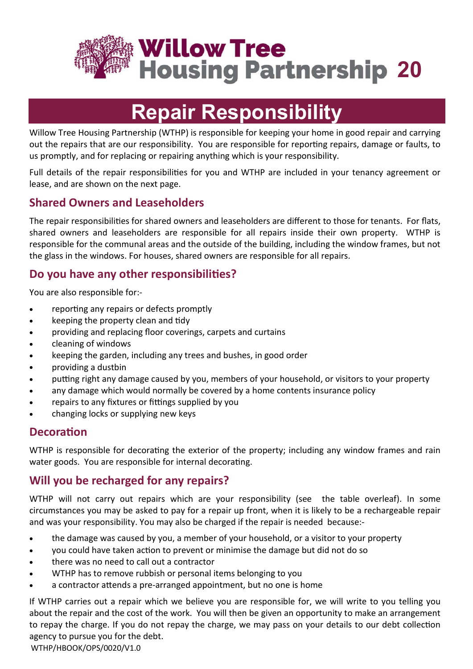

# **Repair Responsibility**

Willow Tree Housing Partnership (WTHP) is responsible for keeping your home in good repair and carrying out the repairs that are our responsibility. You are responsible for reporting repairs, damage or faults, to us promptly, and for replacing or repairing anything which is your responsibility.

Full details of the repair responsibilities for you and WTHP are included in your tenancy agreement or lease, and are shown on the next page.

## **Shared Owners and Leaseholders**

The repair responsibilities for shared owners and leaseholders are different to those for tenants. For flats, shared owners and leaseholders are responsible for all repairs inside their own property. WTHP is responsible for the communal areas and the outside of the building, including the window frames, but not the glass in the windows. For houses, shared owners are responsible for all repairs.

## **Do you have any other responsibilies?**

You are also responsible for:-

- reporting any repairs or defects promptly
- keeping the property clean and tidy
- providing and replacing floor coverings, carpets and curtains
- cleaning of windows
- keeping the garden, including any trees and bushes, in good order
- providing a dustbin
- putting right any damage caused by you, members of your household, or visitors to your property
- any damage which would normally be covered by a home contents insurance policy
- repairs to any fixtures or fittings supplied by you
- changing locks or supplying new keys

#### **Decoration**

WTHP is responsible for decorating the exterior of the property; including any window frames and rain water goods. You are responsible for internal decorating.

## **Will you be recharged for any repairs?**

WTHP will not carry out repairs which are your responsibility (see the table overleaf). In some circumstances you may be asked to pay for a repair up front, when it is likely to be a rechargeable repair and was your responsibility. You may also be charged if the repair is needed because:-

- the damage was caused by you, a member of your household, or a visitor to your property
- you could have taken action to prevent or minimise the damage but did not do so
- there was no need to call out a contractor
- WTHP has to remove rubbish or personal items belonging to you
- a contractor attends a pre-arranged appointment, but no one is home

If WTHP carries out a repair which we believe you are responsible for, we will write to you telling you about the repair and the cost of the work. You will then be given an opportunity to make an arrangement to repay the charge. If you do not repay the charge, we may pass on your details to our debt collection agency to pursue you for the debt.

WTHP/HBOOK/OPS/0020/V1.0